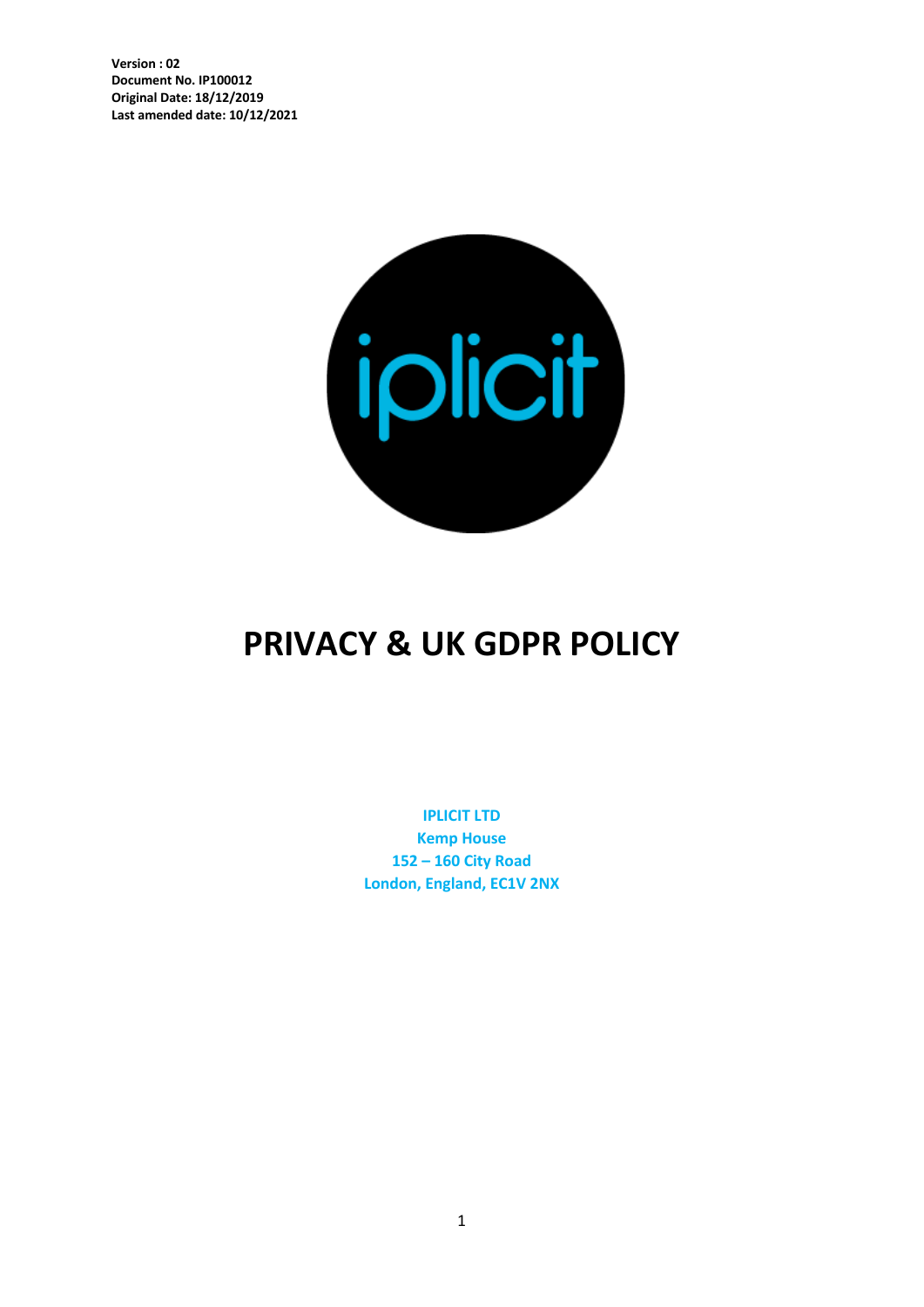

# **PRIVACY & UK GDPR POLICY**

**IPLICIT LTD Kemp House 152 – 160 City Road London, England, EC1V 2NX**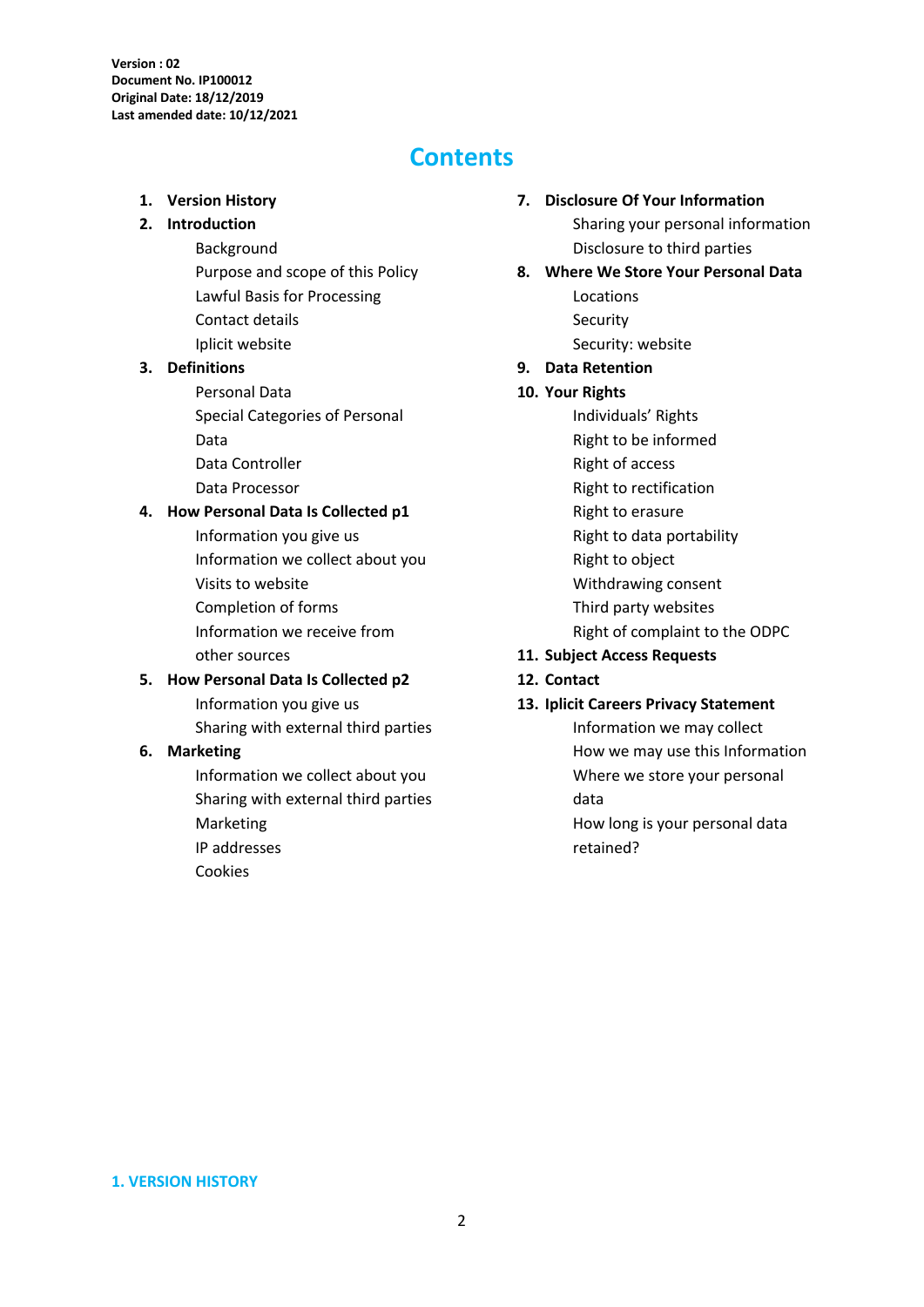## **Contents**

#### **1. Version History**

#### **2. Introduction**

Background

Purpose and scope of this Policy Lawful Basis for Processing Contact details Iplicit website

#### **3. Definitions**

Personal Data Special Categories of Personal Data Data Controller Data Processor

#### **4. How Personal Data Is Collected p1**

Information you give us Information we collect about you Visits to website Completion of forms Information we receive from other sources

#### **5. How Personal Data Is Collected p2**

Information you give us Sharing with external third parties

#### **6. Marketing**

Information we collect about you Sharing with external third parties Marketing IP addresses Cookies

#### **7. Disclosure Of Your Information**

Sharing your personal information Disclosure to third parties

- **8. Where We Store Your Personal Data**  Locations Security Security: website
- **9. Data Retention**

#### **10. Your Rights**

- Individuals' Rights Right to be informed Right of access Right to rectification Right to erasure Right to data portability Right to object Withdrawing consent Third party websites Right of complaint to the ODPC
- **11. Subject Access Requests**

retained?

**12. Contact** 

#### **13. Iplicit Careers Privacy Statement**

Information we may collect How we may use this Information Where we store your personal data How long is your personal data

**1. VERSION HISTORY**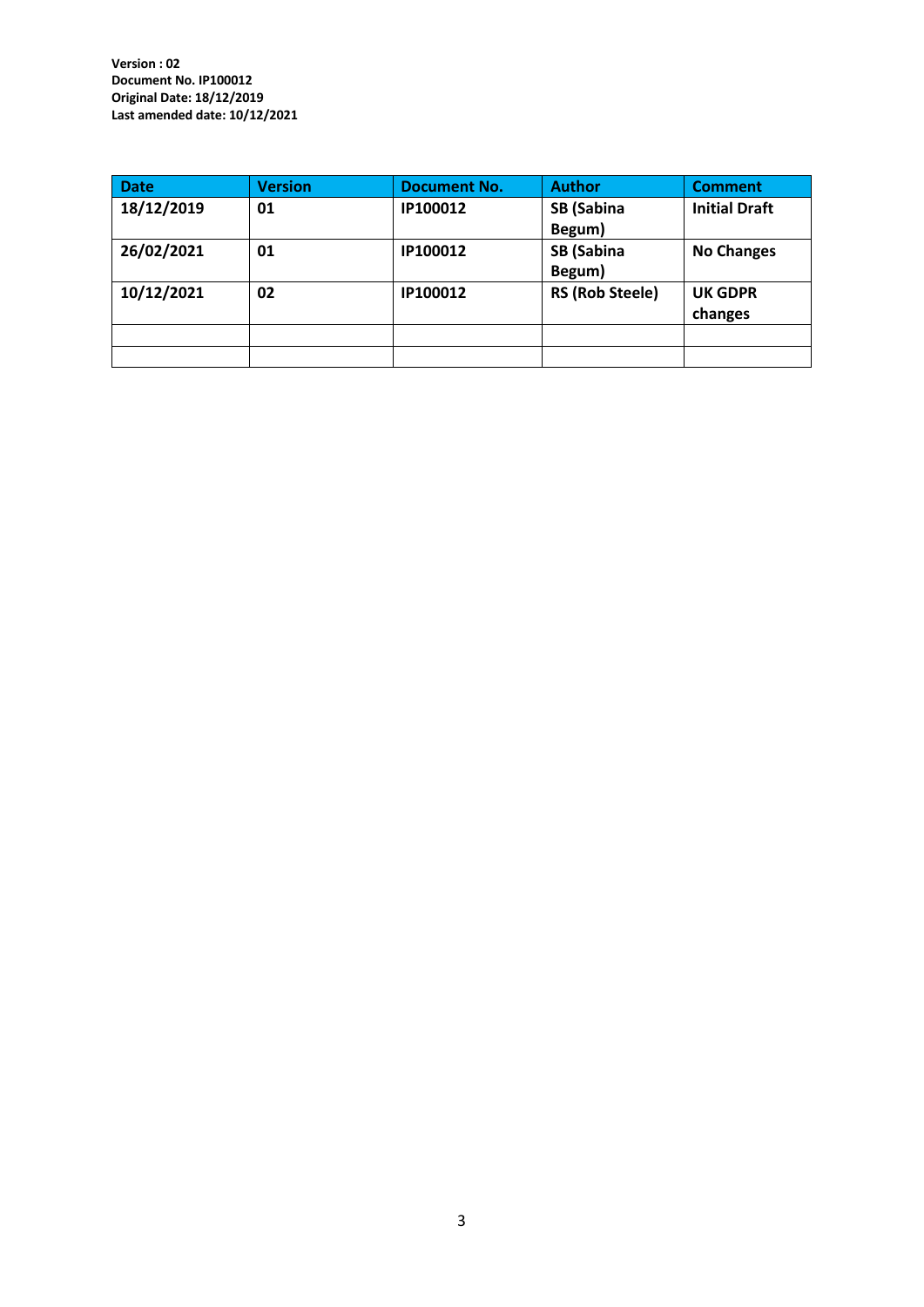| <b>Date</b> | <b>Version</b> | <b>Document No.</b> | <b>Author</b>          | <b>Comment</b>       |
|-------------|----------------|---------------------|------------------------|----------------------|
| 18/12/2019  | 01             | IP100012            | <b>SB (Sabina</b>      | <b>Initial Draft</b> |
|             |                |                     | Begum)                 |                      |
| 26/02/2021  | 01             | IP100012            | <b>SB</b> (Sabina      | <b>No Changes</b>    |
|             |                |                     | Begum)                 |                      |
| 10/12/2021  | 02             | IP100012            | <b>RS (Rob Steele)</b> | <b>UK GDPR</b>       |
|             |                |                     |                        | changes              |
|             |                |                     |                        |                      |
|             |                |                     |                        |                      |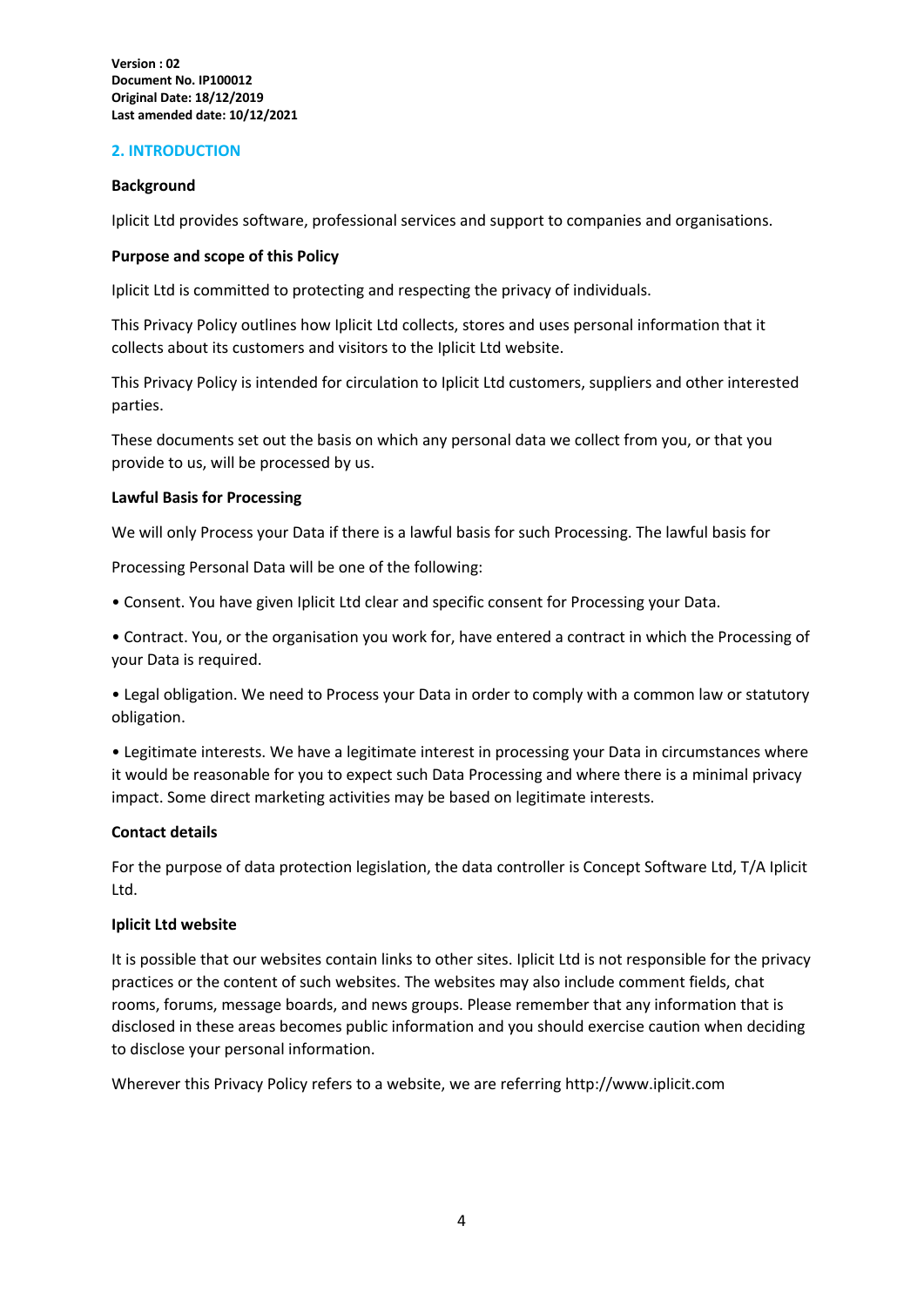#### **2. INTRODUCTION**

#### **Background**

Iplicit Ltd provides software, professional services and support to companies and organisations.

#### **Purpose and scope of this Policy**

Iplicit Ltd is committed to protecting and respecting the privacy of individuals.

This Privacy Policy outlines how Iplicit Ltd collects, stores and uses personal information that it collects about its customers and visitors to the Iplicit Ltd website.

This Privacy Policy is intended for circulation to Iplicit Ltd customers, suppliers and other interested parties.

These documents set out the basis on which any personal data we collect from you, or that you provide to us, will be processed by us.

#### **Lawful Basis for Processing**

We will only Process your Data if there is a lawful basis for such Processing. The lawful basis for

Processing Personal Data will be one of the following:

• Consent. You have given Iplicit Ltd clear and specific consent for Processing your Data.

• Contract. You, or the organisation you work for, have entered a contract in which the Processing of your Data is required.

• Legal obligation. We need to Process your Data in order to comply with a common law or statutory obligation.

• Legitimate interests. We have a legitimate interest in processing your Data in circumstances where it would be reasonable for you to expect such Data Processing and where there is a minimal privacy impact. Some direct marketing activities may be based on legitimate interests.

#### **Contact details**

For the purpose of data protection legislation, the data controller is Concept Software Ltd, T/A Iplicit Ltd.

#### **Iplicit Ltd website**

It is possible that our websites contain links to other sites. Iplicit Ltd is not responsible for the privacy practices or the content of such websites. The websites may also include comment fields, chat rooms, forums, message boards, and news groups. Please remember that any information that is disclosed in these areas becomes public information and you should exercise caution when deciding to disclose your personal information.

Wherever this Privacy Policy refers to a website, we are referring http://www.iplicit.com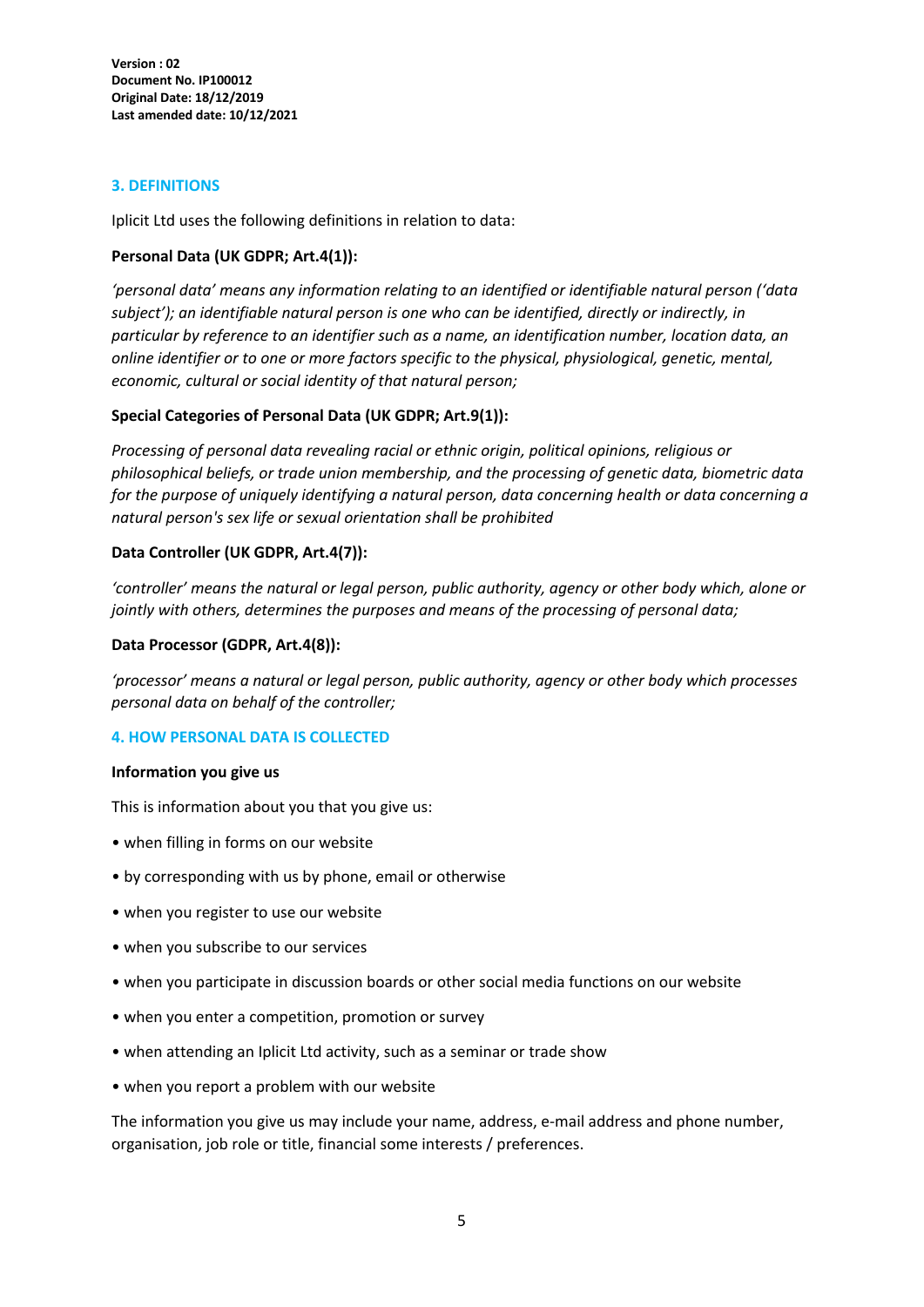#### **3. DEFINITIONS**

Iplicit Ltd uses the following definitions in relation to data:

#### **Personal Data (UK GDPR; Art.4(1)):**

*'personal data' means any information relating to an identified or identifiable natural person ('data subject'); an identifiable natural person is one who can be identified, directly or indirectly, in particular by reference to an identifier such as a name, an identification number, location data, an online identifier or to one or more factors specific to the physical, physiological, genetic, mental, economic, cultural or social identity of that natural person;*

#### **Special Categories of Personal Data (UK GDPR; Art.9(1)):**

*Processing of personal data revealing racial or ethnic origin, political opinions, religious or philosophical beliefs, or trade union membership, and the processing of genetic data, biometric data for the purpose of uniquely identifying a natural person, data concerning health or data concerning a natural person's sex life or sexual orientation shall be prohibited*

#### **Data Controller (UK GDPR, Art.4(7)):**

*'controller' means the natural or legal person, public authority, agency or other body which, alone or jointly with others, determines the purposes and means of the processing of personal data;*

#### **Data Processor (GDPR, Art.4(8)):**

*'processor' means a natural or legal person, public authority, agency or other body which processes personal data on behalf of the controller;*

#### **4. HOW PERSONAL DATA IS COLLECTED**

#### **Information you give us**

This is information about you that you give us:

- when filling in forms on our website
- by corresponding with us by phone, email or otherwise
- when you register to use our website
- when you subscribe to our services
- when you participate in discussion boards or other social media functions on our website
- when you enter a competition, promotion or survey
- when attending an Iplicit Ltd activity, such as a seminar or trade show
- when you report a problem with our website

The information you give us may include your name, address, e-mail address and phone number, organisation, job role or title, financial some interests / preferences.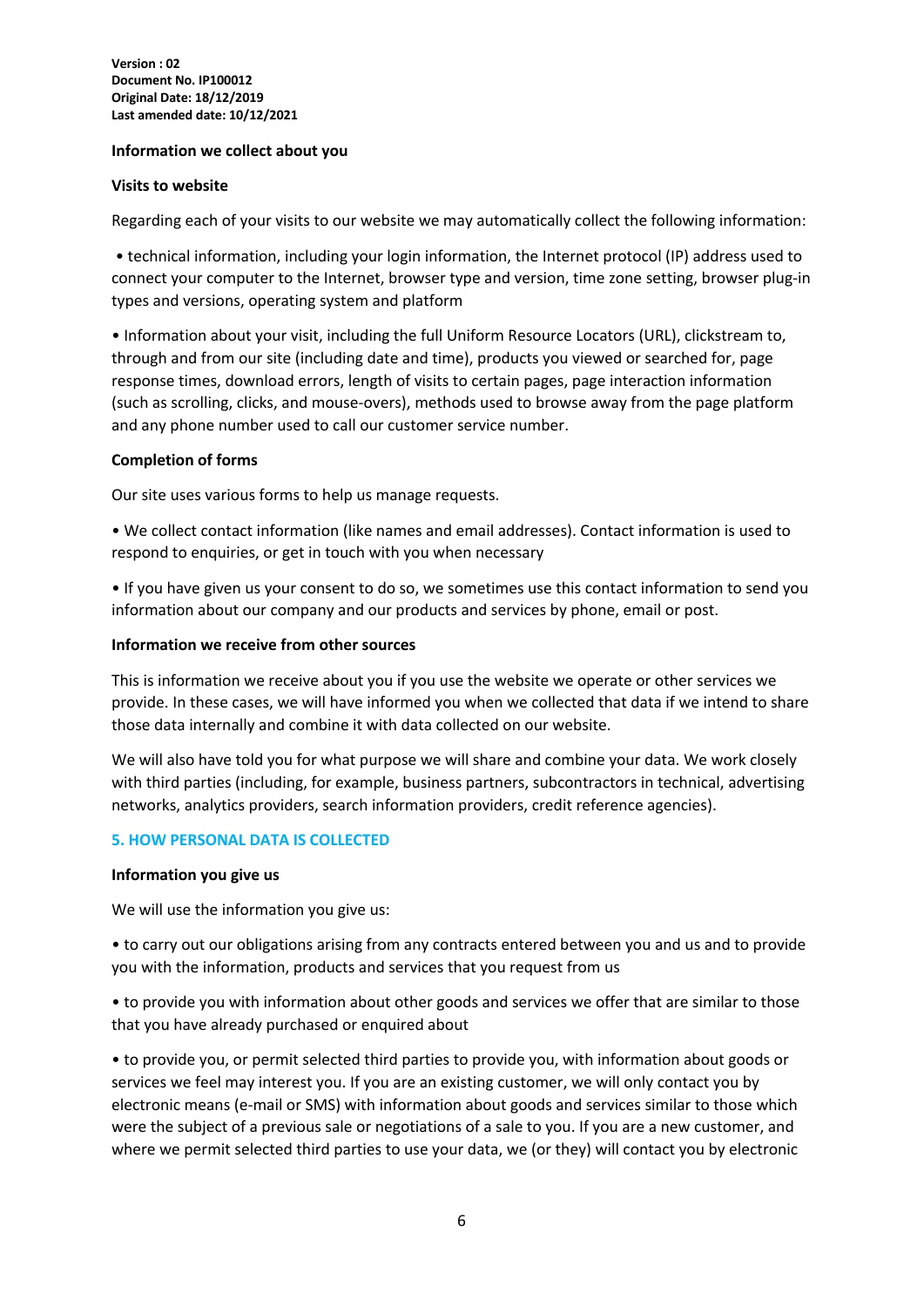#### **Information we collect about you**

#### **Visits to website**

Regarding each of your visits to our website we may automatically collect the following information:

• technical information, including your login information, the Internet protocol (IP) address used to connect your computer to the Internet, browser type and version, time zone setting, browser plug-in types and versions, operating system and platform

• Information about your visit, including the full Uniform Resource Locators (URL), clickstream to, through and from our site (including date and time), products you viewed or searched for, page response times, download errors, length of visits to certain pages, page interaction information (such as scrolling, clicks, and mouse-overs), methods used to browse away from the page platform and any phone number used to call our customer service number.

#### **Completion of forms**

Our site uses various forms to help us manage requests.

• We collect contact information (like names and email addresses). Contact information is used to respond to enquiries, or get in touch with you when necessary

• If you have given us your consent to do so, we sometimes use this contact information to send you information about our company and our products and services by phone, email or post.

#### **Information we receive from other sources**

This is information we receive about you if you use the website we operate or other services we provide. In these cases, we will have informed you when we collected that data if we intend to share those data internally and combine it with data collected on our website.

We will also have told you for what purpose we will share and combine your data. We work closely with third parties (including, for example, business partners, subcontractors in technical, advertising networks, analytics providers, search information providers, credit reference agencies).

#### **5. HOW PERSONAL DATA IS COLLECTED**

#### **Information you give us**

We will use the information you give us:

• to carry out our obligations arising from any contracts entered between you and us and to provide you with the information, products and services that you request from us

• to provide you with information about other goods and services we offer that are similar to those that you have already purchased or enquired about

• to provide you, or permit selected third parties to provide you, with information about goods or services we feel may interest you. If you are an existing customer, we will only contact you by electronic means (e-mail or SMS) with information about goods and services similar to those which were the subject of a previous sale or negotiations of a sale to you. If you are a new customer, and where we permit selected third parties to use your data, we (or they) will contact you by electronic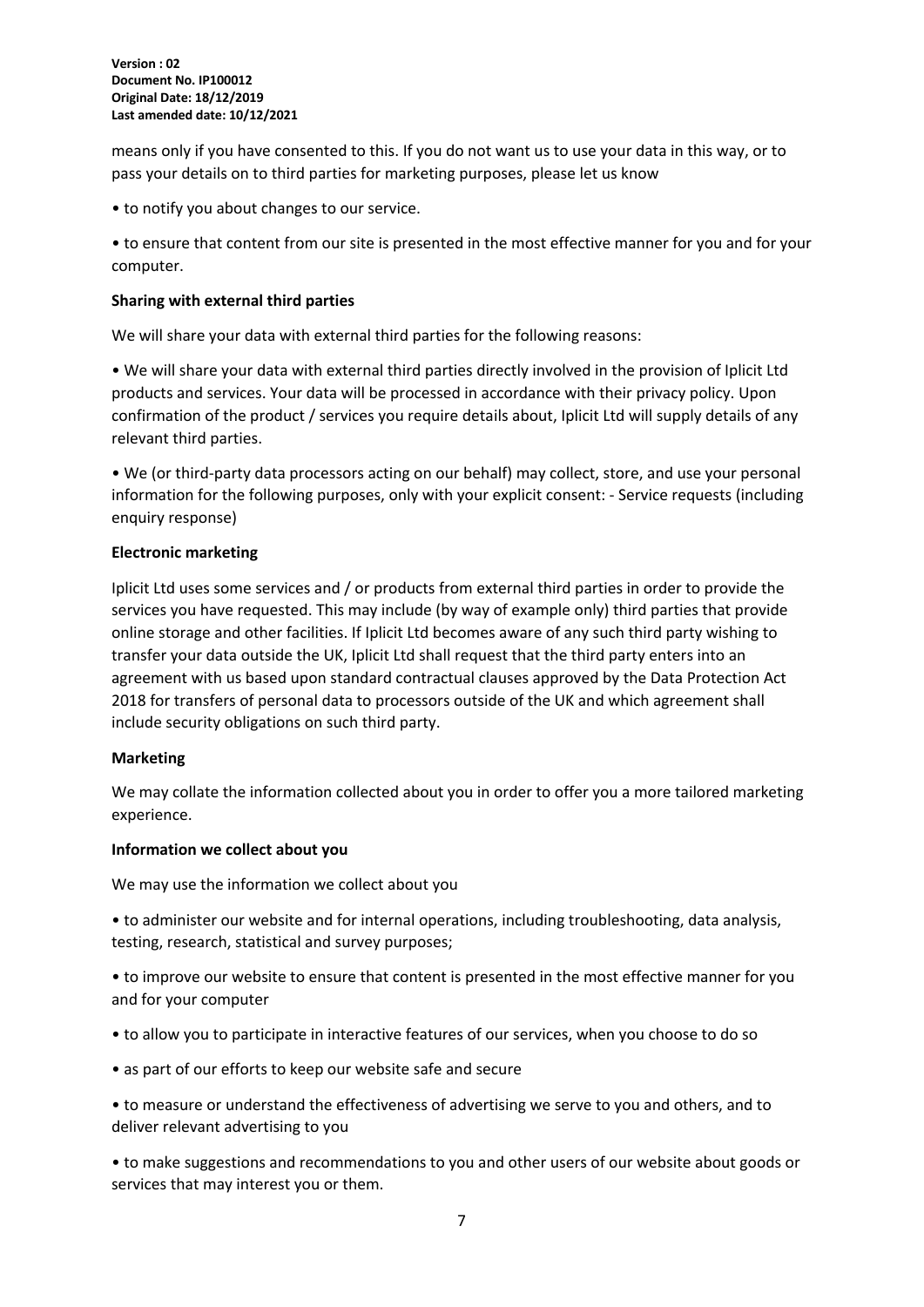means only if you have consented to this. If you do not want us to use your data in this way, or to pass your details on to third parties for marketing purposes, please let us know

• to notify you about changes to our service.

• to ensure that content from our site is presented in the most effective manner for you and for your computer.

#### **Sharing with external third parties**

We will share your data with external third parties for the following reasons:

• We will share your data with external third parties directly involved in the provision of Iplicit Ltd products and services. Your data will be processed in accordance with their privacy policy. Upon confirmation of the product / services you require details about, Iplicit Ltd will supply details of any relevant third parties.

• We (or third-party data processors acting on our behalf) may collect, store, and use your personal information for the following purposes, only with your explicit consent: - Service requests (including enquiry response)

#### **Electronic marketing**

Iplicit Ltd uses some services and / or products from external third parties in order to provide the services you have requested. This may include (by way of example only) third parties that provide online storage and other facilities. If Iplicit Ltd becomes aware of any such third party wishing to transfer your data outside the UK, Iplicit Ltd shall request that the third party enters into an agreement with us based upon standard contractual clauses approved by the Data Protection Act 2018 for transfers of personal data to processors outside of the UK and which agreement shall include security obligations on such third party.

#### **Marketing**

We may collate the information collected about you in order to offer you a more tailored marketing experience.

#### **Information we collect about you**

We may use the information we collect about you

• to administer our website and for internal operations, including troubleshooting, data analysis, testing, research, statistical and survey purposes;

• to improve our website to ensure that content is presented in the most effective manner for you and for your computer

- to allow you to participate in interactive features of our services, when you choose to do so
- as part of our efforts to keep our website safe and secure

• to measure or understand the effectiveness of advertising we serve to you and others, and to deliver relevant advertising to you

• to make suggestions and recommendations to you and other users of our website about goods or services that may interest you or them.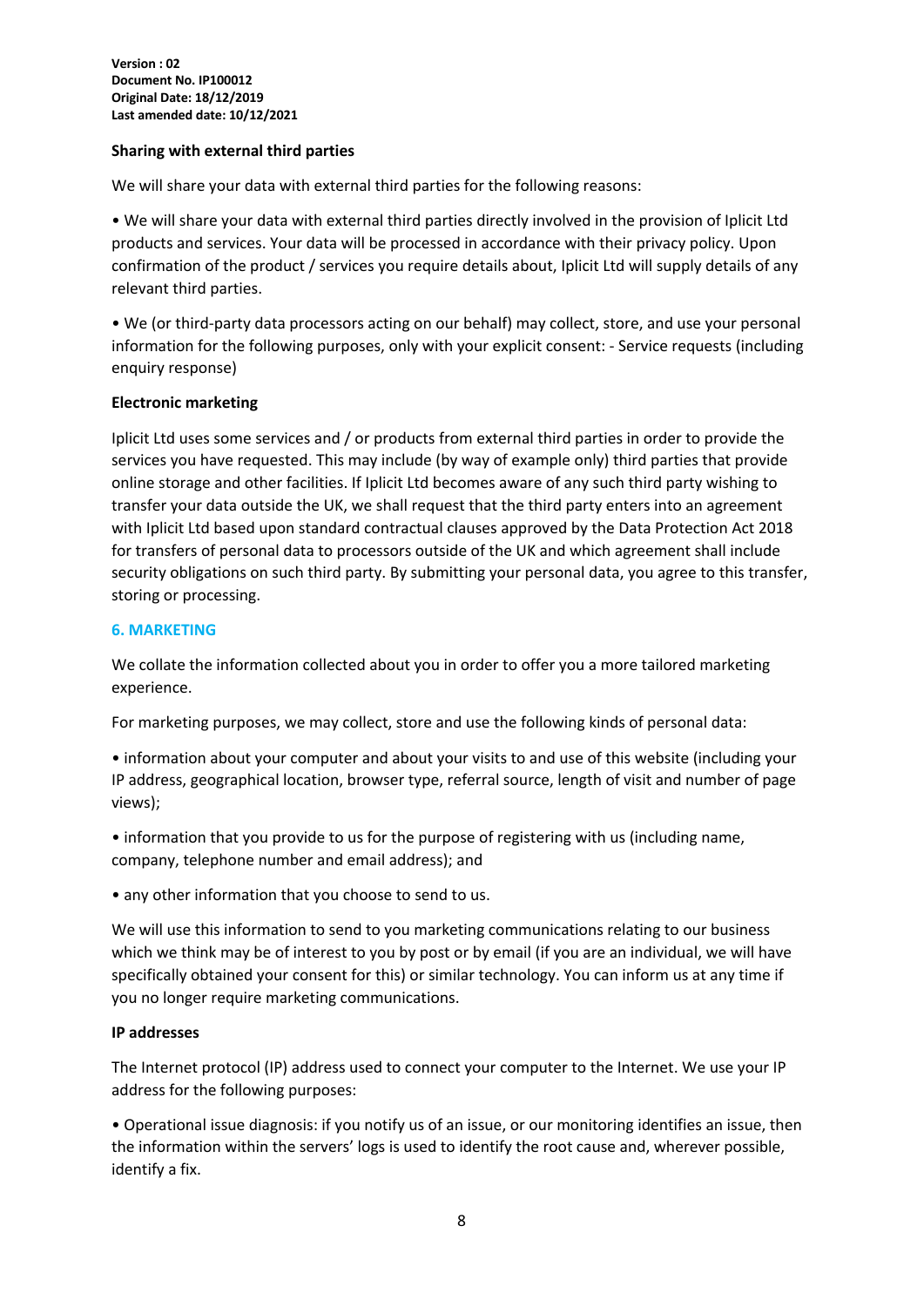#### **Sharing with external third parties**

We will share your data with external third parties for the following reasons:

• We will share your data with external third parties directly involved in the provision of Iplicit Ltd products and services. Your data will be processed in accordance with their privacy policy. Upon confirmation of the product / services you require details about, Iplicit Ltd will supply details of any relevant third parties.

• We (or third-party data processors acting on our behalf) may collect, store, and use your personal information for the following purposes, only with your explicit consent: - Service requests (including enquiry response)

#### **Electronic marketing**

Iplicit Ltd uses some services and / or products from external third parties in order to provide the services you have requested. This may include (by way of example only) third parties that provide online storage and other facilities. If Iplicit Ltd becomes aware of any such third party wishing to transfer your data outside the UK, we shall request that the third party enters into an agreement with Iplicit Ltd based upon standard contractual clauses approved by the Data Protection Act 2018 for transfers of personal data to processors outside of the UK and which agreement shall include security obligations on such third party. By submitting your personal data, you agree to this transfer, storing or processing.

#### **6. MARKETING**

We collate the information collected about you in order to offer you a more tailored marketing experience.

For marketing purposes, we may collect, store and use the following kinds of personal data:

• information about your computer and about your visits to and use of this website (including your IP address, geographical location, browser type, referral source, length of visit and number of page views);

• information that you provide to us for the purpose of registering with us (including name, company, telephone number and email address); and

• any other information that you choose to send to us.

We will use this information to send to you marketing communications relating to our business which we think may be of interest to you by post or by email (if you are an individual, we will have specifically obtained your consent for this) or similar technology. You can inform us at any time if you no longer require marketing communications.

#### **IP addresses**

The Internet protocol (IP) address used to connect your computer to the Internet. We use your IP address for the following purposes:

• Operational issue diagnosis: if you notify us of an issue, or our monitoring identifies an issue, then the information within the servers' logs is used to identify the root cause and, wherever possible, identify a fix.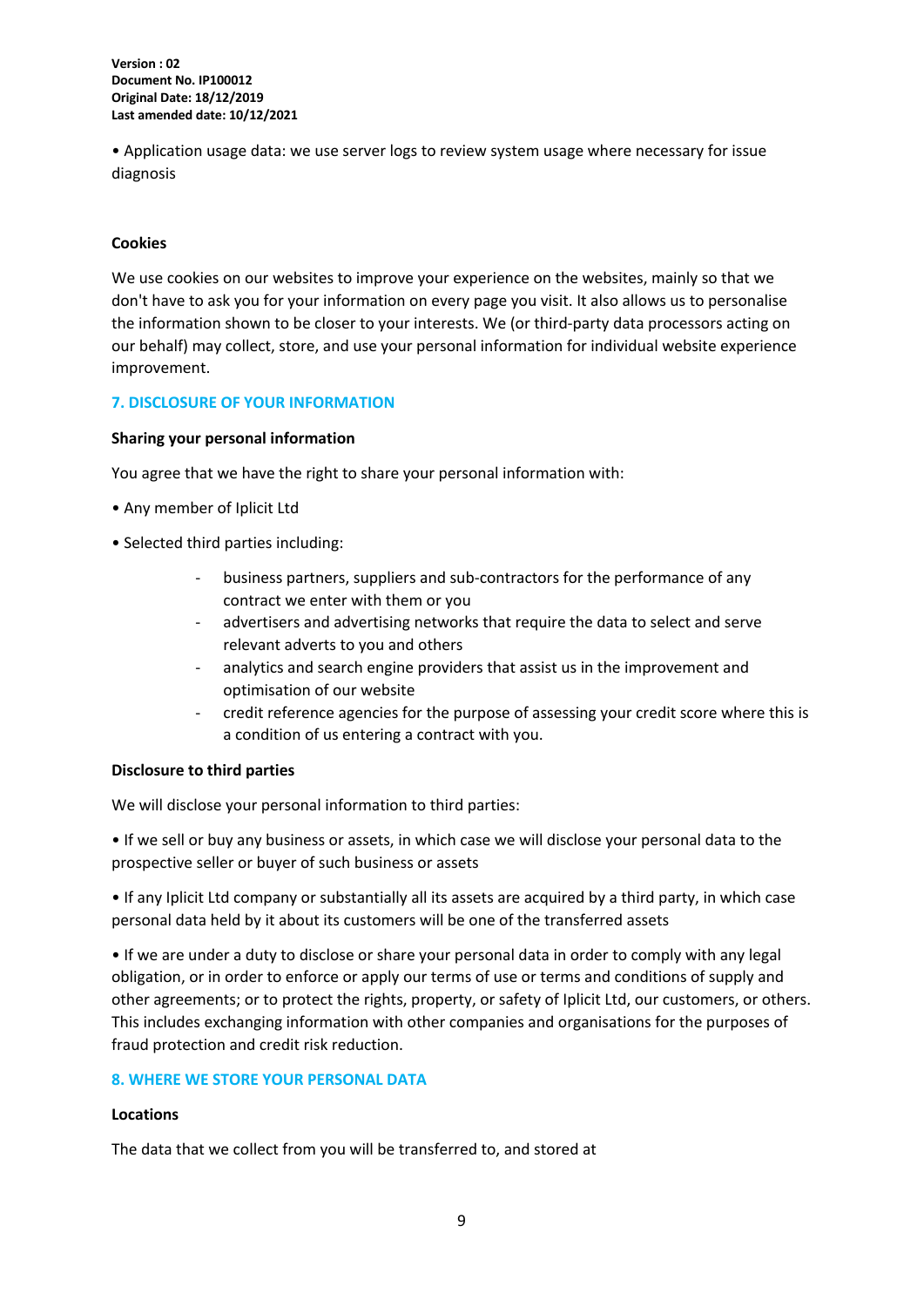• Application usage data: we use server logs to review system usage where necessary for issue diagnosis

#### **Cookies**

We use cookies on our websites to improve your experience on the websites, mainly so that we don't have to ask you for your information on every page you visit. It also allows us to personalise the information shown to be closer to your interests. We (or third-party data processors acting on our behalf) may collect, store, and use your personal information for individual website experience improvement.

#### **7. DISCLOSURE OF YOUR INFORMATION**

#### **Sharing your personal information**

You agree that we have the right to share your personal information with:

- Any member of Iplicit Ltd
- Selected third parties including:
	- business partners, suppliers and sub-contractors for the performance of any contract we enter with them or you
	- advertisers and advertising networks that require the data to select and serve relevant adverts to you and others
	- analytics and search engine providers that assist us in the improvement and optimisation of our website
	- credit reference agencies for the purpose of assessing your credit score where this is a condition of us entering a contract with you.

#### **Disclosure to third parties**

We will disclose your personal information to third parties:

• If we sell or buy any business or assets, in which case we will disclose your personal data to the prospective seller or buyer of such business or assets

• If any Iplicit Ltd company or substantially all its assets are acquired by a third party, in which case personal data held by it about its customers will be one of the transferred assets

• If we are under a duty to disclose or share your personal data in order to comply with any legal obligation, or in order to enforce or apply our terms of use or terms and conditions of supply and other agreements; or to protect the rights, property, or safety of Iplicit Ltd, our customers, or others. This includes exchanging information with other companies and organisations for the purposes of fraud protection and credit risk reduction.

#### **8. WHERE WE STORE YOUR PERSONAL DATA**

#### **Locations**

The data that we collect from you will be transferred to, and stored at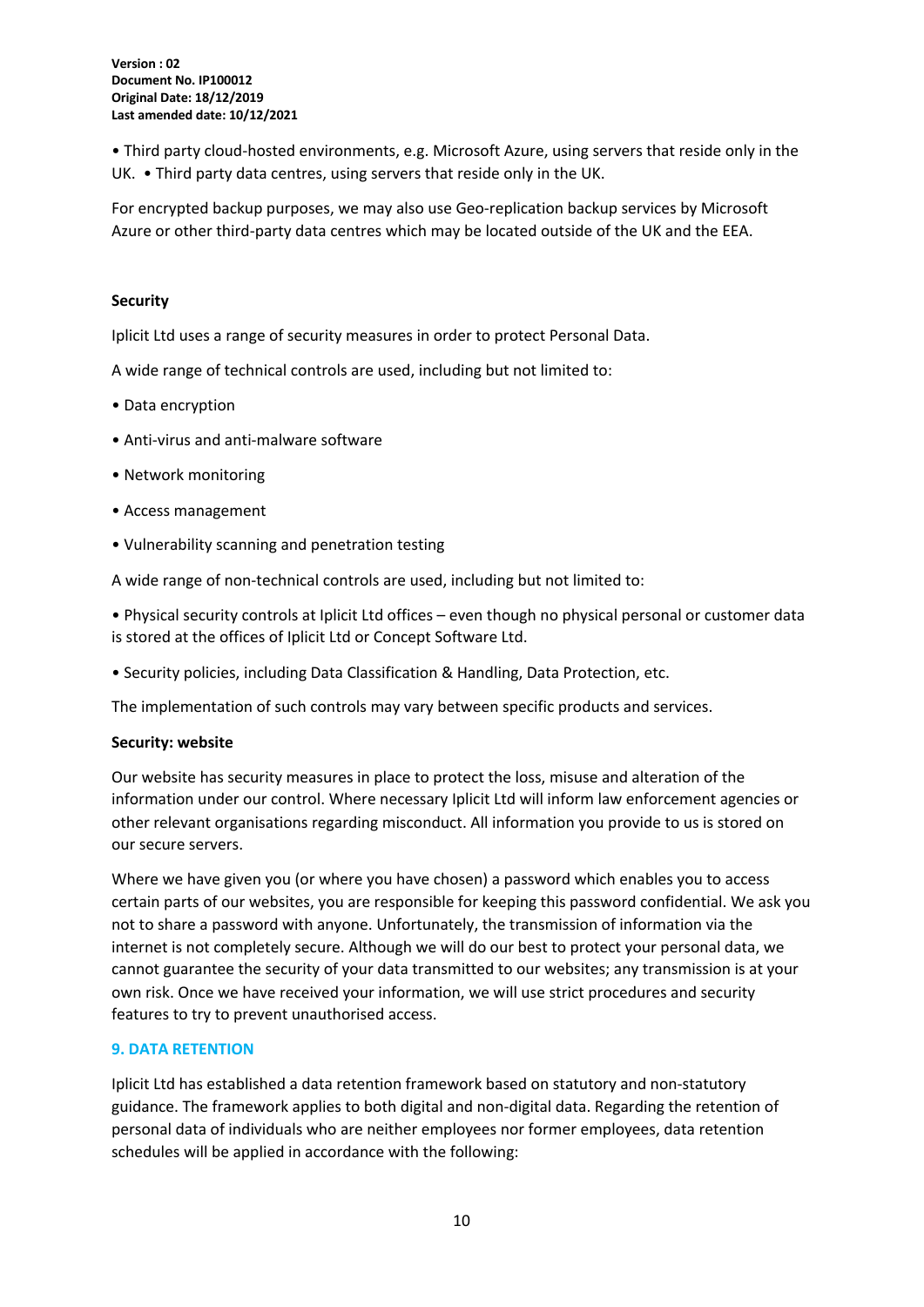• Third party cloud-hosted environments, e.g. Microsoft Azure, using servers that reside only in the UK. • Third party data centres, using servers that reside only in the UK.

For encrypted backup purposes, we may also use Geo-replication backup services by Microsoft Azure or other third-party data centres which may be located outside of the UK and the EEA.

#### **Security**

Iplicit Ltd uses a range of security measures in order to protect Personal Data.

A wide range of technical controls are used, including but not limited to:

- Data encryption
- Anti-virus and anti-malware software
- Network monitoring
- Access management
- Vulnerability scanning and penetration testing

A wide range of non-technical controls are used, including but not limited to:

• Physical security controls at Iplicit Ltd offices – even though no physical personal or customer data is stored at the offices of Iplicit Ltd or Concept Software Ltd.

• Security policies, including Data Classification & Handling, Data Protection, etc.

The implementation of such controls may vary between specific products and services.

#### **Security: website**

Our website has security measures in place to protect the loss, misuse and alteration of the information under our control. Where necessary Iplicit Ltd will inform law enforcement agencies or other relevant organisations regarding misconduct. All information you provide to us is stored on our secure servers.

Where we have given you (or where you have chosen) a password which enables you to access certain parts of our websites, you are responsible for keeping this password confidential. We ask you not to share a password with anyone. Unfortunately, the transmission of information via the internet is not completely secure. Although we will do our best to protect your personal data, we cannot guarantee the security of your data transmitted to our websites; any transmission is at your own risk. Once we have received your information, we will use strict procedures and security features to try to prevent unauthorised access.

#### **9. DATA RETENTION**

Iplicit Ltd has established a data retention framework based on statutory and non-statutory guidance. The framework applies to both digital and non-digital data. Regarding the retention of personal data of individuals who are neither employees nor former employees, data retention schedules will be applied in accordance with the following: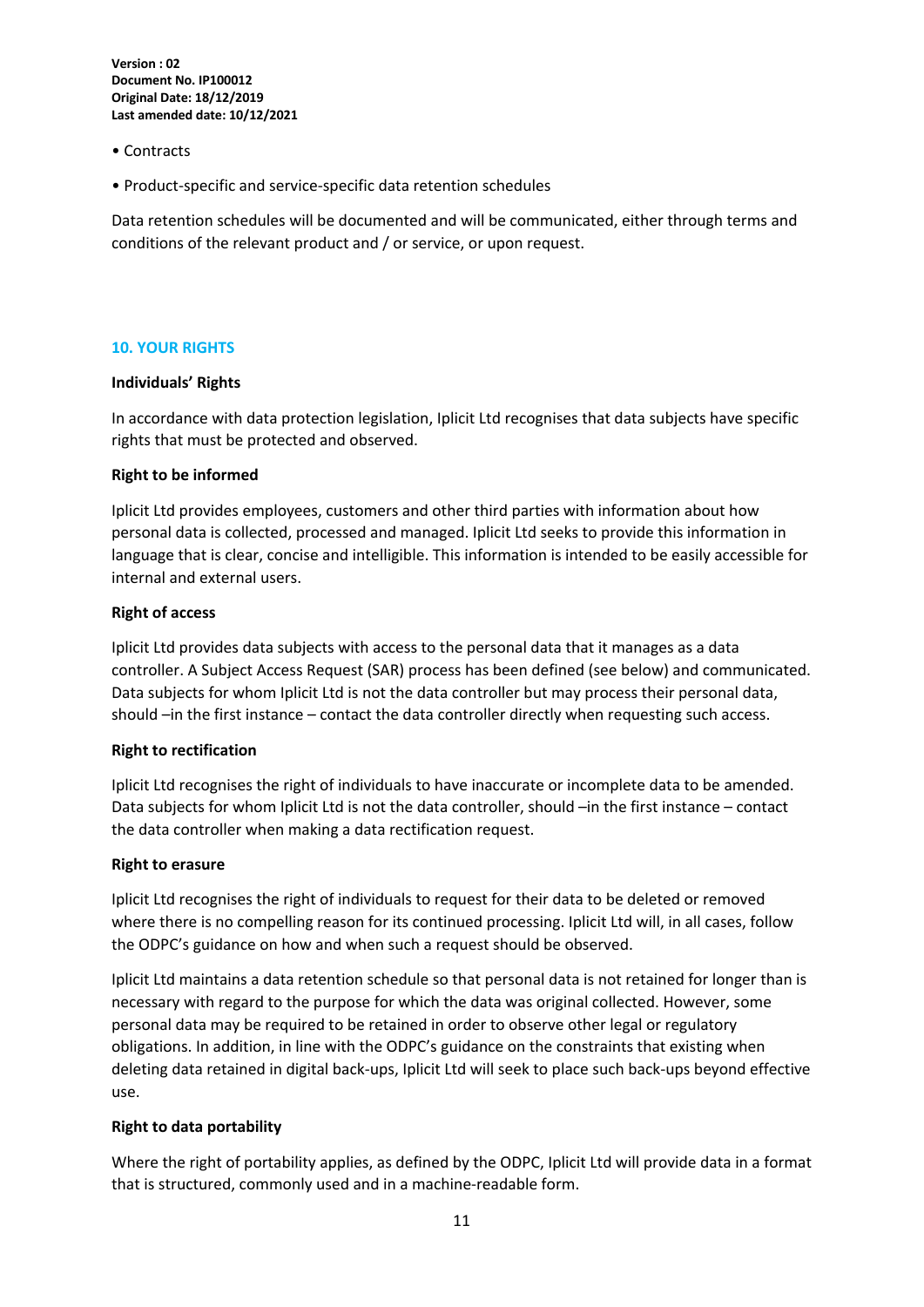- Contracts
- Product-specific and service-specific data retention schedules

Data retention schedules will be documented and will be communicated, either through terms and conditions of the relevant product and / or service, or upon request.

#### **10. YOUR RIGHTS**

#### **Individuals' Rights**

In accordance with data protection legislation, Iplicit Ltd recognises that data subjects have specific rights that must be protected and observed.

#### **Right to be informed**

Iplicit Ltd provides employees, customers and other third parties with information about how personal data is collected, processed and managed. Iplicit Ltd seeks to provide this information in language that is clear, concise and intelligible. This information is intended to be easily accessible for internal and external users.

#### **Right of access**

Iplicit Ltd provides data subjects with access to the personal data that it manages as a data controller. A Subject Access Request (SAR) process has been defined (see below) and communicated. Data subjects for whom Iplicit Ltd is not the data controller but may process their personal data, should –in the first instance – contact the data controller directly when requesting such access.

#### **Right to rectification**

Iplicit Ltd recognises the right of individuals to have inaccurate or incomplete data to be amended. Data subjects for whom Iplicit Ltd is not the data controller, should –in the first instance – contact the data controller when making a data rectification request.

#### **Right to erasure**

Iplicit Ltd recognises the right of individuals to request for their data to be deleted or removed where there is no compelling reason for its continued processing. Iplicit Ltd will, in all cases, follow the ODPC's guidance on how and when such a request should be observed.

Iplicit Ltd maintains a data retention schedule so that personal data is not retained for longer than is necessary with regard to the purpose for which the data was original collected. However, some personal data may be required to be retained in order to observe other legal or regulatory obligations. In addition, in line with the ODPC's guidance on the constraints that existing when deleting data retained in digital back-ups, Iplicit Ltd will seek to place such back-ups beyond effective use.

#### **Right to data portability**

Where the right of portability applies, as defined by the ODPC, Iplicit Ltd will provide data in a format that is structured, commonly used and in a machine-readable form.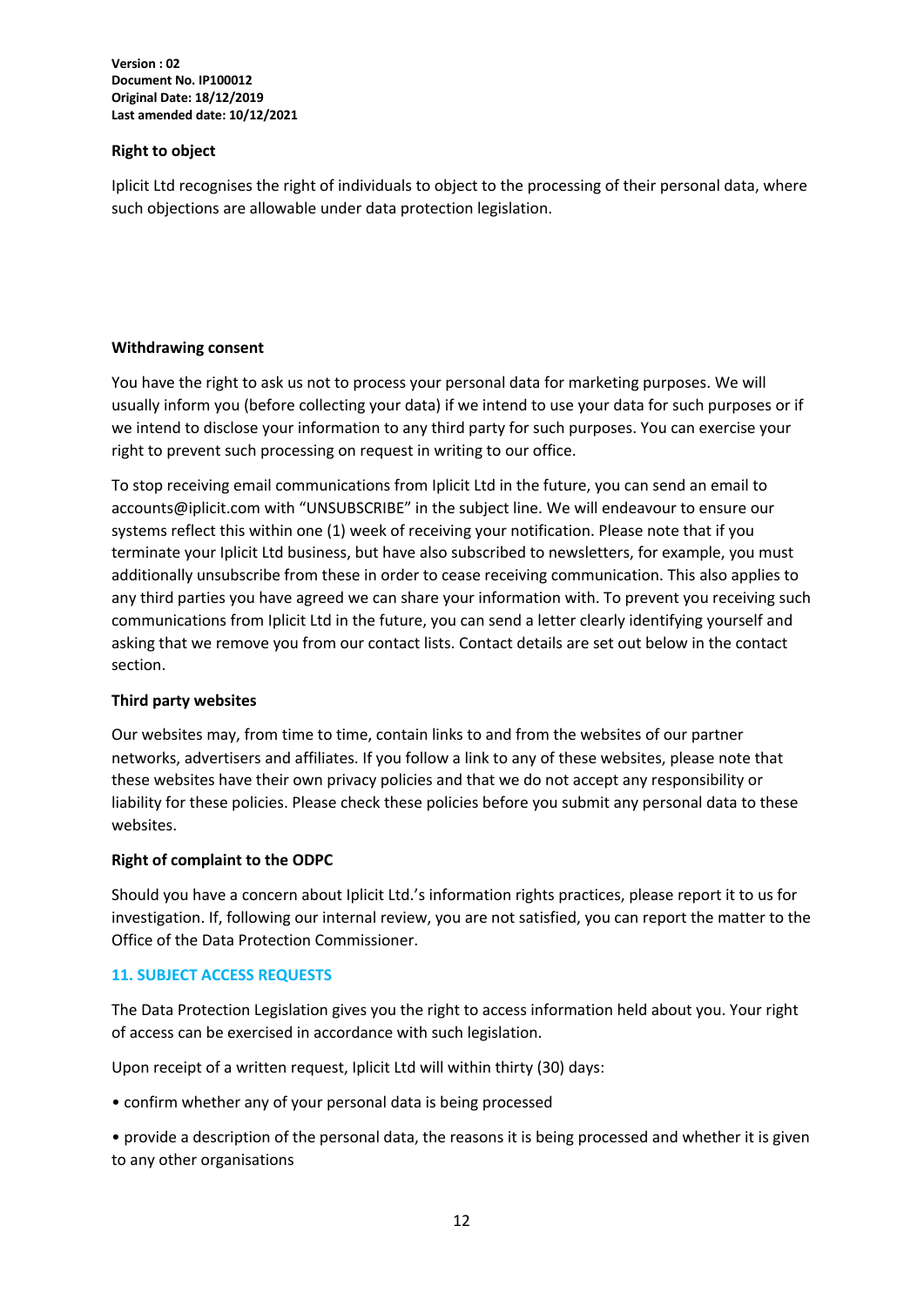#### **Right to object**

Iplicit Ltd recognises the right of individuals to object to the processing of their personal data, where such objections are allowable under data protection legislation.

#### **Withdrawing consent**

You have the right to ask us not to process your personal data for marketing purposes. We will usually inform you (before collecting your data) if we intend to use your data for such purposes or if we intend to disclose your information to any third party for such purposes. You can exercise your right to prevent such processing on request in writing to our office.

To stop receiving email communications from Iplicit Ltd in the future, you can send an email to accounts@iplicit.com with "UNSUBSCRIBE" in the subject line. We will endeavour to ensure our systems reflect this within one (1) week of receiving your notification. Please note that if you terminate your Iplicit Ltd business, but have also subscribed to newsletters, for example, you must additionally unsubscribe from these in order to cease receiving communication. This also applies to any third parties you have agreed we can share your information with. To prevent you receiving such communications from Iplicit Ltd in the future, you can send a letter clearly identifying yourself and asking that we remove you from our contact lists. Contact details are set out below in the contact section.

#### **Third party websites**

Our websites may, from time to time, contain links to and from the websites of our partner networks, advertisers and affiliates. If you follow a link to any of these websites, please note that these websites have their own privacy policies and that we do not accept any responsibility or liability for these policies. Please check these policies before you submit any personal data to these websites.

#### **Right of complaint to the ODPC**

Should you have a concern about Iplicit Ltd.'s information rights practices, please report it to us for investigation. If, following our internal review, you are not satisfied, you can report the matter to the Office of the Data Protection Commissioner.

#### **11. SUBJECT ACCESS REQUESTS**

The Data Protection Legislation gives you the right to access information held about you. Your right of access can be exercised in accordance with such legislation.

Upon receipt of a written request, Iplicit Ltd will within thirty (30) days:

• confirm whether any of your personal data is being processed

• provide a description of the personal data, the reasons it is being processed and whether it is given to any other organisations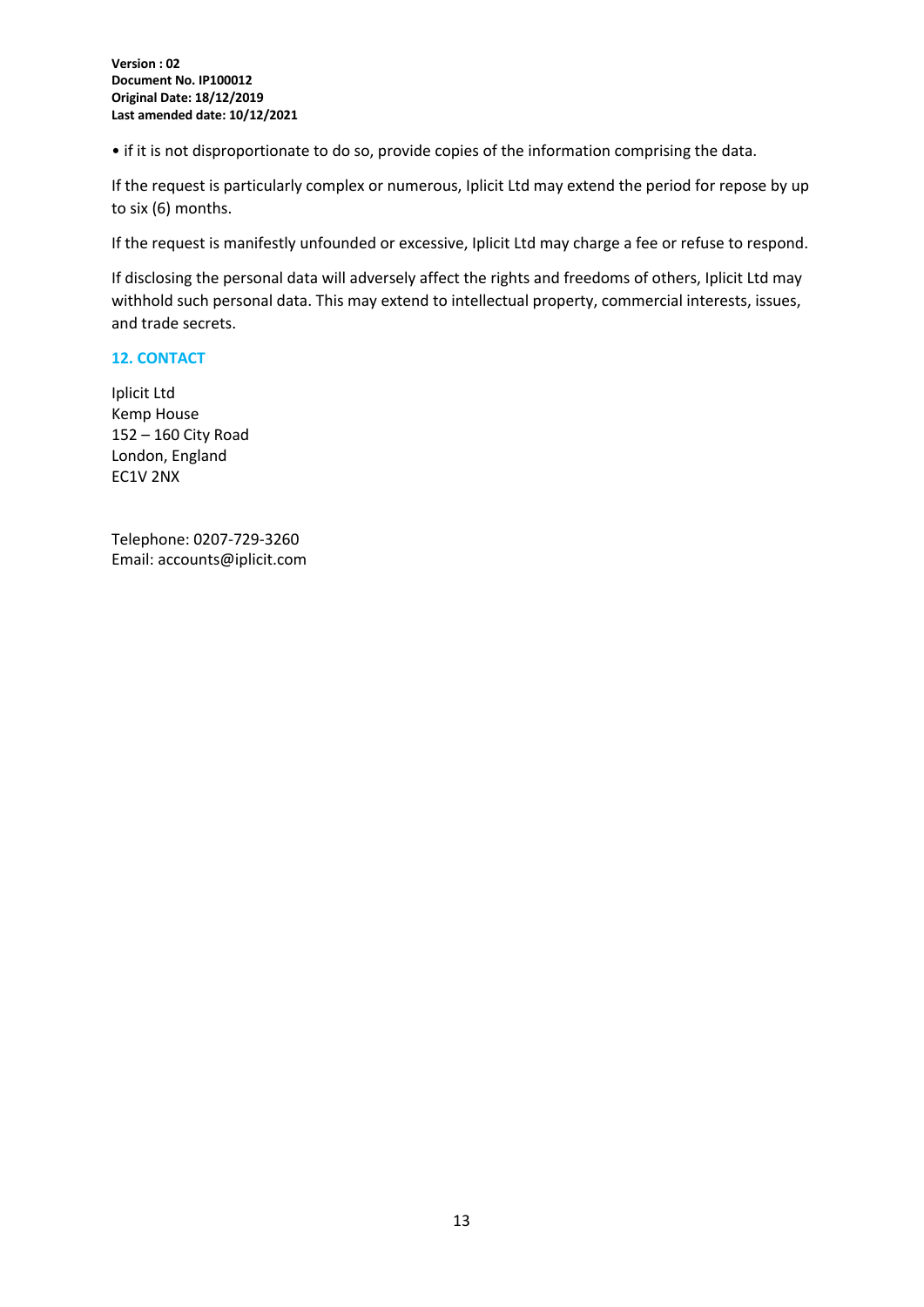• if it is not disproportionate to do so, provide copies of the information comprising the data.

If the request is particularly complex or numerous, Iplicit Ltd may extend the period for repose by up to six (6) months.

If the request is manifestly unfounded or excessive, Iplicit Ltd may charge a fee or refuse to respond.

If disclosing the personal data will adversely affect the rights and freedoms of others, Iplicit Ltd may withhold such personal data. This may extend to intellectual property, commercial interests, issues, and trade secrets.

#### **12. CONTACT**

Iplicit Ltd Kemp House 152 – 160 City Road London, England EC1V 2NX

Telephone: 0207-729-3260 Email: accounts@iplicit.com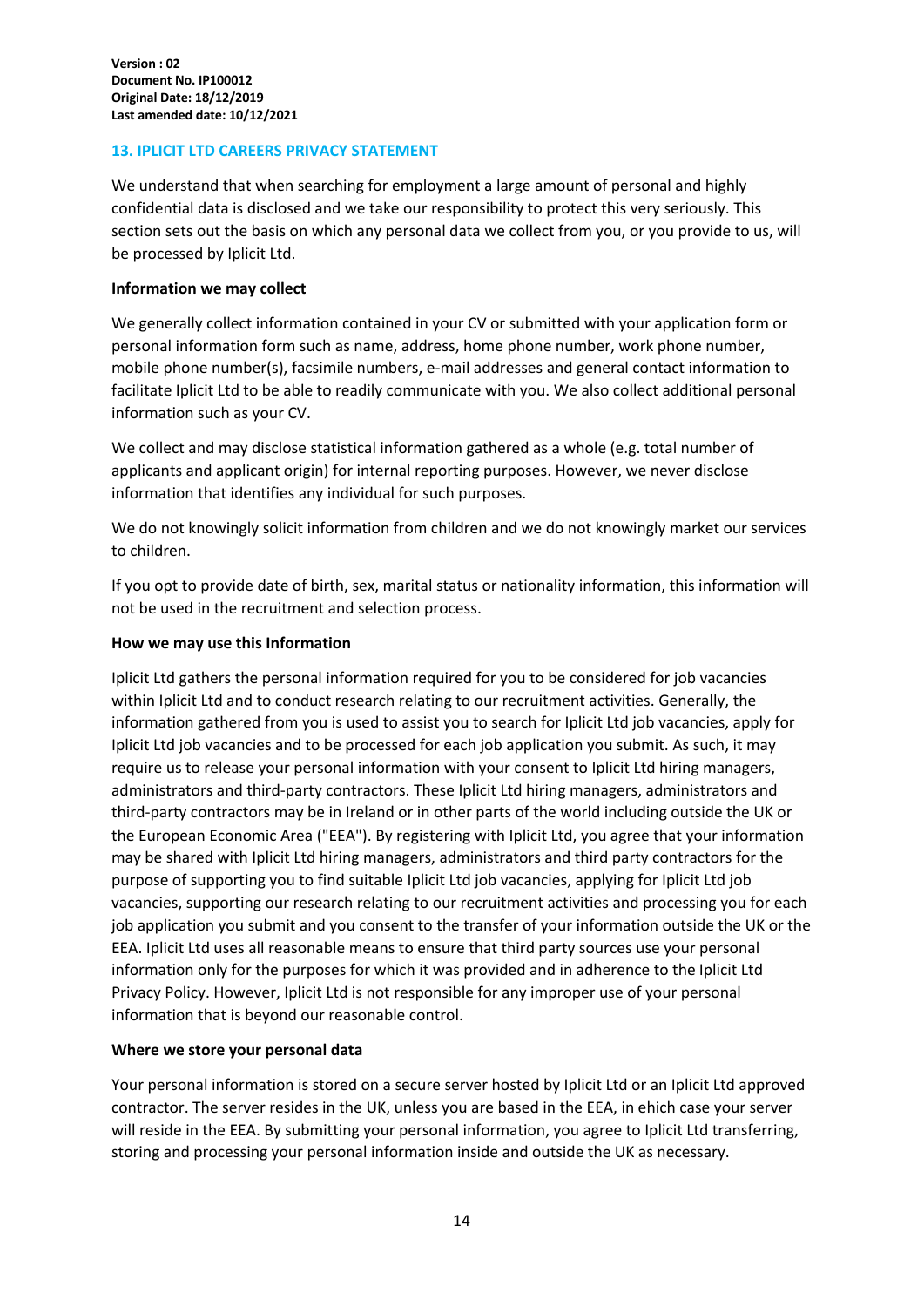#### **13. IPLICIT LTD CAREERS PRIVACY STATEMENT**

We understand that when searching for employment a large amount of personal and highly confidential data is disclosed and we take our responsibility to protect this very seriously. This section sets out the basis on which any personal data we collect from you, or you provide to us, will be processed by Iplicit Ltd.

#### **Information we may collect**

We generally collect information contained in your CV or submitted with your application form or personal information form such as name, address, home phone number, work phone number, mobile phone number(s), facsimile numbers, e-mail addresses and general contact information to facilitate Iplicit Ltd to be able to readily communicate with you. We also collect additional personal information such as your CV.

We collect and may disclose statistical information gathered as a whole (e.g. total number of applicants and applicant origin) for internal reporting purposes. However, we never disclose information that identifies any individual for such purposes.

We do not knowingly solicit information from children and we do not knowingly market our services to children.

If you opt to provide date of birth, sex, marital status or nationality information, this information will not be used in the recruitment and selection process.

#### **How we may use this Information**

Iplicit Ltd gathers the personal information required for you to be considered for job vacancies within Iplicit Ltd and to conduct research relating to our recruitment activities. Generally, the information gathered from you is used to assist you to search for Iplicit Ltd job vacancies, apply for Iplicit Ltd job vacancies and to be processed for each job application you submit. As such, it may require us to release your personal information with your consent to Iplicit Ltd hiring managers, administrators and third-party contractors. These Iplicit Ltd hiring managers, administrators and third-party contractors may be in Ireland or in other parts of the world including outside the UK or the European Economic Area ("EEA"). By registering with Iplicit Ltd, you agree that your information may be shared with Iplicit Ltd hiring managers, administrators and third party contractors for the purpose of supporting you to find suitable Iplicit Ltd job vacancies, applying for Iplicit Ltd job vacancies, supporting our research relating to our recruitment activities and processing you for each job application you submit and you consent to the transfer of your information outside the UK or the EEA. Iplicit Ltd uses all reasonable means to ensure that third party sources use your personal information only for the purposes for which it was provided and in adherence to the Iplicit Ltd Privacy Policy. However, Iplicit Ltd is not responsible for any improper use of your personal information that is beyond our reasonable control.

#### **Where we store your personal data**

Your personal information is stored on a secure server hosted by Iplicit Ltd or an Iplicit Ltd approved contractor. The server resides in the UK, unless you are based in the EEA, in ehich case your server will reside in the EEA. By submitting your personal information, you agree to Iplicit Ltd transferring, storing and processing your personal information inside and outside the UK as necessary.